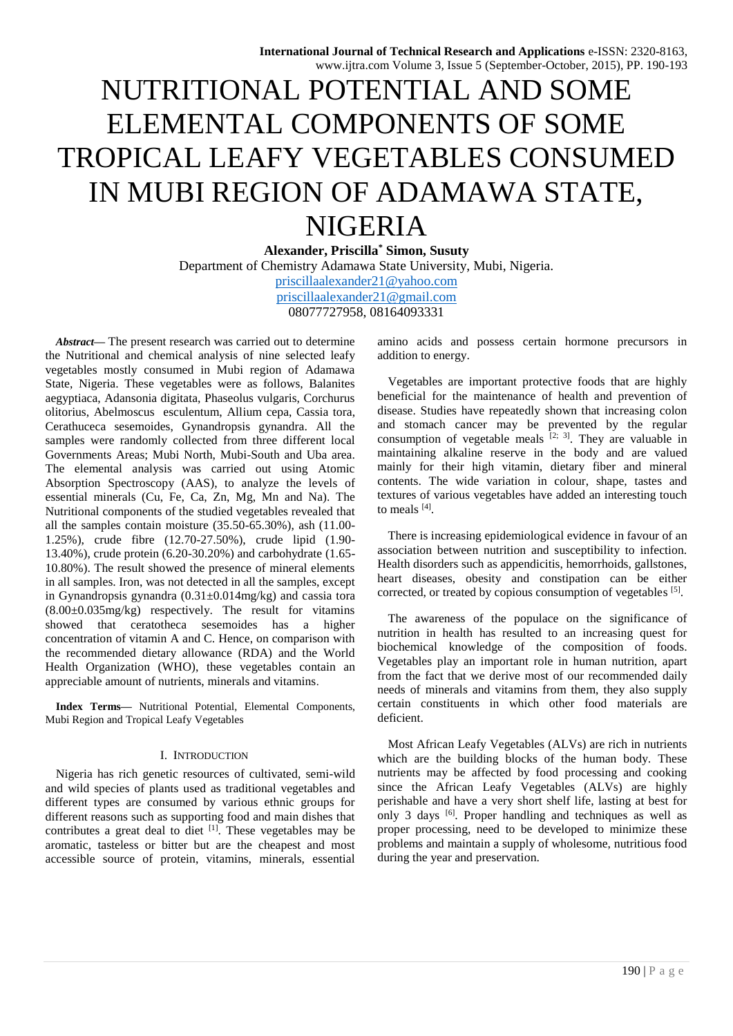# NUTRITIONAL POTENTIAL AND SOME ELEMENTAL COMPONENTS OF SOME TROPICAL LEAFY VEGETABLES CONSUMED IN MUBI REGION OF ADAMAWA STATE, NIGERIA

**Alexander, Priscilla\* Simon, Susuty** Department of Chemistry Adamawa State University, Mubi, Nigeria. [priscillaalexander21@yahoo.com](mailto:priscillaalexander21@yahoo.com) [priscillaalexander21@gmail.com](mailto:priscillaalexander21@gmail.com) 08077727958, 08164093331

*Abstract***—** The present research was carried out to determine the Nutritional and chemical analysis of nine selected leafy vegetables mostly consumed in Mubi region of Adamawa State, Nigeria. These vegetables were as follows, Balanites aegyptiaca, Adansonia digitata, Phaseolus vulgaris, Corchurus olitorius, Abelmoscus esculentum, Allium cepa, Cassia tora, Cerathuceca sesemoides, Gynandropsis gynandra. All the samples were randomly collected from three different local Governments Areas; Mubi North, Mubi-South and Uba area. The elemental analysis was carried out using Atomic Absorption Spectroscopy (AAS), to analyze the levels of essential minerals (Cu, Fe, Ca, Zn, Mg, Mn and Na). The Nutritional components of the studied vegetables revealed that all the samples contain moisture (35.50-65.30%), ash (11.00- 1.25%), crude fibre (12.70-27.50%), crude lipid (1.90- 13.40%), crude protein (6.20-30.20%) and carbohydrate (1.65- 10.80%). The result showed the presence of mineral elements in all samples. Iron, was not detected in all the samples, except in Gynandropsis gynandra (0.31±0.014mg/kg) and cassia tora (8.00±0.035mg/kg) respectively. The result for vitamins showed that ceratotheca sesemoides has a higher concentration of vitamin A and C. Hence, on comparison with the recommended dietary allowance (RDA) and the World Health Organization (WHO), these vegetables contain an appreciable amount of nutrients, minerals and vitamins.

**Index Terms—** Nutritional Potential, Elemental Components, Mubi Region and Tropical Leafy Vegetables

# I. INTRODUCTION

Nigeria has rich genetic resources of cultivated, semi-wild and wild species of plants used as traditional vegetables and different types are consumed by various ethnic groups for different reasons such as supporting food and main dishes that contributes a great deal to diet  $\left[1\right]$ . These vegetables may be aromatic, tasteless or bitter but are the cheapest and most accessible source of protein, vitamins, minerals, essential

amino acids and possess certain hormone precursors in addition to energy.

Vegetables are important protective foods that are highly beneficial for the maintenance of health and prevention of disease. Studies have repeatedly shown that increasing colon and stomach cancer may be prevented by the regular consumption of vegetable meals  $[2, 3]$ . They are valuable in maintaining alkaline reserve in the body and are valued mainly for their high vitamin, dietary fiber and mineral contents. The wide variation in colour, shape, tastes and textures of various vegetables have added an interesting touch to meals [4].

There is increasing epidemiological evidence in favour of an association between nutrition and susceptibility to infection. Health disorders such as appendicitis, hemorrhoids, gallstones, heart diseases, obesity and constipation can be either corrected, or treated by copious consumption of vegetables [5].

The awareness of the populace on the significance of nutrition in health has resulted to an increasing quest for biochemical knowledge of the composition of foods. Vegetables play an important role in human nutrition, apart from the fact that we derive most of our recommended daily needs of minerals and vitamins from them, they also supply certain constituents in which other food materials are deficient.

Most African Leafy Vegetables (ALVs) are rich in nutrients which are the building blocks of the human body. These nutrients may be affected by food processing and cooking since the African Leafy Vegetables (ALVs) are highly perishable and have a very short shelf life, lasting at best for only 3 days  $[6]$ . Proper handling and techniques as well as proper processing, need to be developed to minimize these problems and maintain a supply of wholesome, nutritious food during the year and preservation.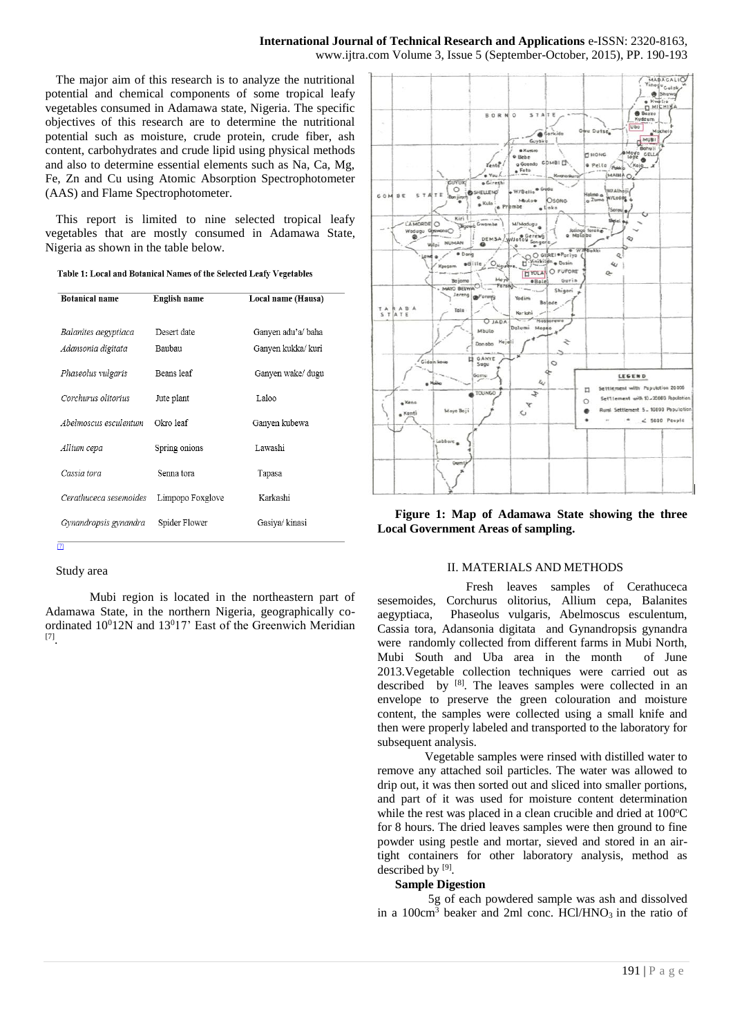The major aim of this research is to analyze the nutritional potential and chemical components of some tropical leafy vegetables consumed in Adamawa state, Nigeria. The specific objectives of this research are to determine the nutritional potential such as moisture, crude protein, crude fiber, ash content, carbohydrates and crude lipid using physical methods and also to determine essential elements such as Na, Ca, Mg, Fe, Zn and Cu using Atomic Absorption Spectrophotometer (AAS) and Flame Spectrophotometer.

This report is limited to nine selected tropical leafy vegetables that are mostly consumed in Adamawa State, Nigeria as shown in the table below.

|  |  |  |  | Table 1: Local and Botanical Names of the Selected Leafy Vegetables |
|--|--|--|--|---------------------------------------------------------------------|
|--|--|--|--|---------------------------------------------------------------------|

| <b>Botanical name</b>  | English name     | Local name (Hausa) |
|------------------------|------------------|--------------------|
|                        |                  |                    |
| Balanites aegyptiaca   | Desert date      | Ganyen adu'a/ baha |
| Adansonia digitata     | Baubau           | Ganyen kukka/ kuri |
| Phaseolus vulgaris     | Beans leaf       | Ganyen wake/ dugu  |
| Corchurus olitorius    | Jute plant       | Laloo              |
| Abelmoscus esculentum  | Okro leaf        | Ganyen kubewa      |
| Allium cepa            | Spring onions    | Lawashi            |
| Cassia tora            | Senna tora       | Tapasa             |
| Cerathuceca sesemoides | Limpopo Foxglove | Karkashi           |
| Gynandropsis gynandra  | Spider Flower    | Gasiva/kinasi      |
| т                      |                  |                    |

## Study area

Mubi region is located in the northeastern part of Adamawa State, in the northern Nigeria, geographically coordinated  $10^012N$  and  $13^017'$  East of the Greenwich Meridian [7] .



**Figure 1: Map of Adamawa State showing the three Local Government Areas of sampling.** 

## II. MATERIALS AND METHODS

Fresh leaves samples of Cerathuceca sesemoides, Corchurus olitorius, Allium cepa, Balanites aegyptiaca, Phaseolus vulgaris, Abelmoscus esculentum, Cassia tora, Adansonia digitata and Gynandropsis gynandra were randomly collected from different farms in Mubi North, Mubi South and Uba area in the month of June 2013.Vegetable collection techniques were carried out as described by [8]. The leaves samples were collected in an envelope to preserve the green colouration and moisture content, the samples were collected using a small knife and then were properly labeled and transported to the laboratory for subsequent analysis.

Vegetable samples were rinsed with distilled water to remove any attached soil particles. The water was allowed to drip out, it was then sorted out and sliced into smaller portions, and part of it was used for moisture content determination while the rest was placed in a clean crucible and dried at  $100^{\circ}$ C for 8 hours. The dried leaves samples were then ground to fine powder using pestle and mortar, sieved and stored in an airtight containers for other laboratory analysis, method as described by  $[9]$ .

## **Sample Digestion**

 5g of each powdered sample was ash and dissolved in a  $100 \text{cm}^3$  beaker and 2ml conc. HCl/HNO<sub>3</sub> in the ratio of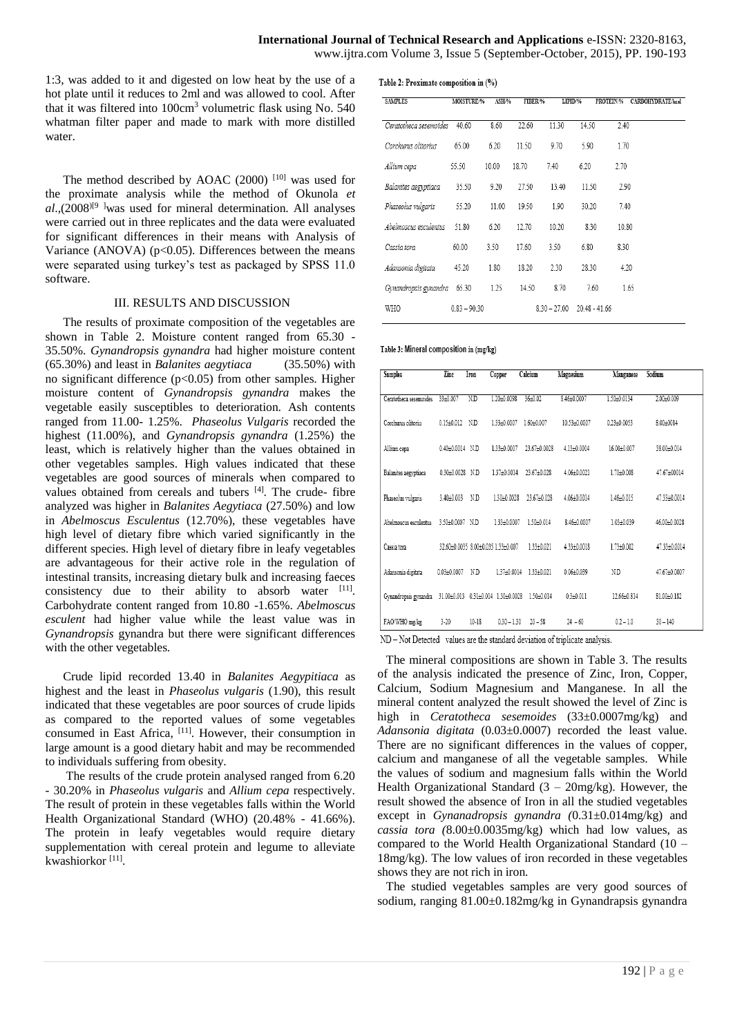Table 2: Proximate composition in (%)

1:3, was added to it and digested on low heat by the use of a hot plate until it reduces to 2ml and was allowed to cool. After that it was filtered into  $100 \text{cm}^3$  volumetric flask using No. 540 whatman filter paper and made to mark with more distilled water.

The method described by AOAC  $(2000)$ <sup>[10]</sup> was used for the proximate analysis while the method of Okunola *et al*.,(2008)[9 ]was used for mineral determination. All analyses were carried out in three replicates and the data were evaluated for significant differences in their means with Analysis of Variance (ANOVA)  $(p<0.05)$ . Differences between the means were separated using turkey's test as packaged by SPSS 11.0 software.

## III. RESULTS AND DISCUSSION

The results of proximate composition of the vegetables are shown in Table 2. Moisture content ranged from 65.30 - 35.50%. *Gynandropsis gynandra* had higher moisture content (65.30%) and least in *Balanites aegytiaca* (35.50%) with no significant difference (p<0.05) from other samples. Higher moisture content of *Gynandropsis gynandra* makes the vegetable easily susceptibles to deterioration. Ash contents ranged from 11.00- 1.25%. *Phaseolus Vulgaris* recorded the highest (11.00%), and *Gynandropsis gynandra* (1.25%) the least, which is relatively higher than the values obtained in other vegetables samples. High values indicated that these vegetables are good sources of minerals when compared to values obtained from cereals and tubers [4]. The crude- fibre analyzed was higher in *Balanites Aegytiaca* (27.50%) and low in *Abelmoscus Esculentus* (12.70%), these vegetables have high level of dietary fibre which varied significantly in the different species. High level of dietary fibre in leafy vegetables are advantageous for their active role in the regulation of intestinal transits, increasing dietary bulk and increasing faeces consistency due to their ability to absorb water  $[11]$ . Carbohydrate content ranged from 10.80 -1.65%. *Abelmoscus esculent* had higher value while the least value was in *Gynandropsis* gynandra but there were significant differences with the other vegetables.

Crude lipid recorded 13.40 in *Balanites Aegypitiaca* as highest and the least in *Phaseolus vulgaris* (1.90), this result indicated that these vegetables are poor sources of crude lipids as compared to the reported values of some vegetables consumed in East Africa, [11]. However, their consumption in large amount is a good dietary habit and may be recommended to individuals suffering from obesity.

 The results of the crude protein analysed ranged from 6.20 - 30.20% in *Phaseolus vulgaris* and *Allium cepa* respectively. The result of protein in these vegetables falls within the World Health Organizational Standard (WHO) (20.48% - 41.66%). The protein in leafy vegetables would require dietary supplementation with cereal protein and legume to alleviate kwashiorkor<sup>[11]</sup>.

| <b>SAMPLES</b>         | <b>MOISTURE/%</b> | ASH/% | FIBER/% |       | LIPID/% | PROTEIN/% |
|------------------------|-------------------|-------|---------|-------|---------|-----------|
| Ceratotheca sesemoides | 40.60             | 8.60  | 22.60   | 11 30 | 14 50   | 2.40      |
| Corchurus olitorius    | 65 00             | 6 20  | 11.50   | 970   | 590     | 1.70      |
| Allium cepa            | 55.50             | 10.00 | 1870    | 740   | 6.20    | 2.70      |
| Balanites aegyptiaca   | 35.50             | 9.20  | 27.50   | 1340  | 11 50   | 2.90      |

| лишт сери                   | <i>JJ.J</i> V  | 1V.VV | 10.IV | 1.70           | $U - U$         | $\sim$ $\sim$ |
|-----------------------------|----------------|-------|-------|----------------|-----------------|---------------|
| Balanites aegyptiaca        | 35.50          | 9.20  | 27.50 | 13.40          | 11.50           | 2.90          |
| Phaseolus vulgaris          | 55.20          | 11.00 | 19.50 | 1.90           | 30.20           | 7.40          |
| Abelmoscus esculentus       | 51.80          | 6.20  | 12.70 | 10.20          | 8.30            | 10.80         |
| Cassia tora                 | 60.00          | 3.50  | 17.60 | 3.50           | 6.80            | 8.30          |
| Adansonia digitata          | 45.20          | 1.80  | 18.20 | 2.30           | 28.30           | 4.20          |
| Gynandropsis gynandra 65.30 |                | 1.25  | 14.50 | 8.70           | 7.60            | 1.65          |
| WHO                         | $0.83 - 90.30$ |       |       | $8.30 - 27.00$ | $20.48 - 41.66$ |               |

CARBOHYDRATE/kcal

#### Table 3: Mineral composition in (mg/kg)

| <b>Samples</b>                    | Zinc                | Iron      | Copper                             | Calcium         | Magnesium      | Manganese       | Sodium        |
|-----------------------------------|---------------------|-----------|------------------------------------|-----------------|----------------|-----------------|---------------|
| Ceratotheca sesemoides            | 33±0.007            | N.D       | 1.20±0.0098                        | 36±0.02         | 8.46±0.0007    | 1.50±0.0134     | 2.00±0.009    |
| Corchurus olitoriu                | $0.15 \pm 0.012$ ND |           | 1.33+0.0007                        | $1.60 + 0.007$  | 10.53±0.0007   | $0.23 + 0.0053$ | $8.00 + 0014$ |
| Allium cepa                       | 0.40±0.0014 N.D     |           | 1.33±0.0007                        | 23.67±0.0028    | 4.13±0.0014    | 16.00±0.007     | 38.00±0.014   |
| Balanites aegyptiaca              | 0.30±0.0028 N.D     |           | 1.37+0.0014                        | 23 67 + 0.028   | 4.06+0.0021    | 1.70±0.008      | 47.67+00014   |
| Phaseolus vulgaris                | 3.40±0.003          | ND.       | 1.30+0.0028                        | 23.67±0.028     | 4.06±0.0014    | 1.46±0.015      | 47.33±0.0014  |
| Abelmoscus esculentus             | 3.50±0.0007 N.D     |           | 1.33±0.0007                        | 1.50+0.014      | 8.46+0.0007    | $1.03 + 0.039$  | 46.00±0.0028  |
| Cassia tora                       |                     |           | 32.60±0.0035 8.00±0.035 1.33±0.007 | $1.33 + 0.021$  | 4.33+0.0018    | 1.73+0.002      | 47.33±0.0014  |
| Adansonia digitata                | $0.03 + 0.0007$     | ND.       | 1.37+0.0014                        | 1 3 3 + 0 0 2 1 | $0.06 + 0.039$ | N.D             | 47.67+0.0007  |
| Gynandropsis gynandra 31.00±0.013 |                     |           | 0.31±0.014 1.30±0.0028             | 1.50±0.014      | $0.3 + 0.011$  | 12.66±0.814     | 81.00±0.182   |
| FAO/WHO mg/kg                     | $3 - 20$            | $10 - 18$ | $0.30 - 1.30$                      | $20 - 58$       | $24 - 60$      | $0.2 - 1.0$     | $30 - 140$    |

ND - Not Detected values are the standard deviation of triplicate analysis.

The mineral compositions are shown in Table 3. The results of the analysis indicated the presence of Zinc, Iron, Copper, Calcium, Sodium Magnesium and Manganese. In all the mineral content analyzed the result showed the level of Zinc is high in *Ceratotheca sesemoides* (33±0.0007mg/kg) and *Adansonia digitata* (0.03±0.0007) recorded the least value. There are no significant differences in the values of copper, calcium and manganese of all the vegetable samples. While the values of sodium and magnesium falls within the World Health Organizational Standard  $(3 - 20mg/kg)$ . However, the result showed the absence of Iron in all the studied vegetables except in *Gynanadropsis gynandra (*0.31±0.014mg/kg) and *cassia tora (*8.00±0.0035mg/kg) which had low values, as compared to the World Health Organizational Standard (10 – 18mg/kg). The low values of iron recorded in these vegetables shows they are not rich in iron.

The studied vegetables samples are very good sources of sodium, ranging 81.00±0.182mg/kg in Gynandrapsis gynandra